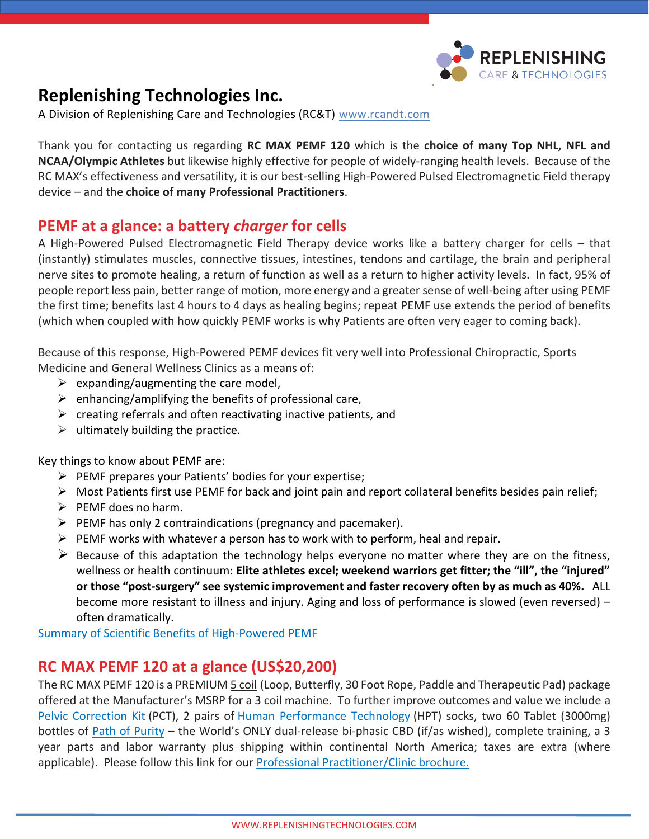

# **Replenishing Technologies Inc.**

A Division of Replenishing Care and Technologies (RC&T) [www.rcandt.com](http://www.rcandt.com/)

Thank you for contacting us regarding **RC MAX PEMF 120** which is the **choice of many Top NHL, NFL and NCAA/Olympic Athletes** but likewise highly effective for people of widely-ranging health levels. Because of the RC MAX's effectiveness and versatility, it is our best-selling High-Powered Pulsed Electromagnetic Field therapy device – and the **choice of many Professional Practitioners**.

## **PEMF at a glance: a battery** *charger* **for cells**

A High-Powered Pulsed Electromagnetic Field Therapy device works like a battery charger for cells – that (instantly) stimulates muscles, connective tissues, intestines, tendons and cartilage, the brain and peripheral nerve sites to promote healing, a return of function as well as a return to higher activity levels. In fact, 95% of people report less pain, better range of motion, more energy and a greater sense of well-being after using PEMF the first time; benefits last 4 hours to 4 days as healing begins; repeat PEMF use extends the period of benefits (which when coupled with how quickly PEMF works is why Patients are often very eager to coming back).

Because of this response, High-Powered PEMF devices fit very well into Professional Chiropractic, Sports Medicine and General Wellness Clinics as a means of:

- $\triangleright$  expanding/augmenting the care model,
- $\triangleright$  enhancing/amplifying the benefits of professional care,
- $\triangleright$  creating referrals and often reactivating inactive patients, and
- $\triangleright$  ultimately building the practice.

Key things to know about PEMF are:

- ➢ PEMF prepares your Patients' bodies for your expertise;
- $\triangleright$  Most Patients first use PEMF for back and joint pain and report collateral benefits besides pain relief;
- $\triangleright$  PEMF does no harm.
- $\triangleright$  PEMF has only 2 contraindications (pregnancy and pacemaker).
- $\triangleright$  PEMF works with whatever a person has to work with to perform, heal and repair.
- $\triangleright$  Because of this adaptation the technology helps everyone no matter where they are on the fitness, wellness or health continuum: **Elite athletes excel; weekend warriors get fitter; the "ill", the "injured" or those "post-surgery" see systemic improvement and faster recovery often by as much as 40%.** ALL become more resistant to illness and injury. Aging and loss of performance is slowed (even reversed) – often dramatically.

[Summary of Scientific Benefits of High-Powered PEMF](https://replenishingtechnologies.com/public/download/Summary-of-Scientific-Studies-regarding-the-Benefits-of-Pulsed-Electromagnetic-Field-Therapy-September-2020.pdf)

### **RC MAX PEMF 120 at a glance (US\$20,200)**

The RC MAX PEMF 120 is a PREMIUM 5 coil (Loop, Butterfly, 30 Foot Rope, Paddle and Therapeutic Pad) package offered at the Manufacturer's MSRP for a 3 coil machine. To further improve outcomes and value we include a [Pelvic Correction Kit](https://rcandt.com/rct-tool-education/replenishing-technologies-a-la-carte-ingredients/pelvic-correction-technique-re-balance-pelvis-musculoskeletal-system) (PCT), 2 pairs of [Human Performance Technology](https://rcandt.com/rct-tool-education/replenishing-technologies-a-la-carte-ingredients/voxxlife-human-performance-technology-reboot-neurology-in-7-seconds) (HPT) socks, two 60 Tablet (3000mg) bottles of [Path of Purity](https://pathofpurity.com/why-path-of-purity/pop-explained) – the World's ONLY dual-release bi-phasic CBD (if/as wished), complete training, a 3 year parts and labor warranty plus shipping within continental North America; taxes are extra (where applicable). Please follow this link for our [Professional Practitioner/Clinic brochure.](https://replenishingtechnologies.com/public/download/RC-MAX-PEMF-120-Package-for-Sports-Medicine-Chiropractic-and-General-Wellness-Doctors.pdf)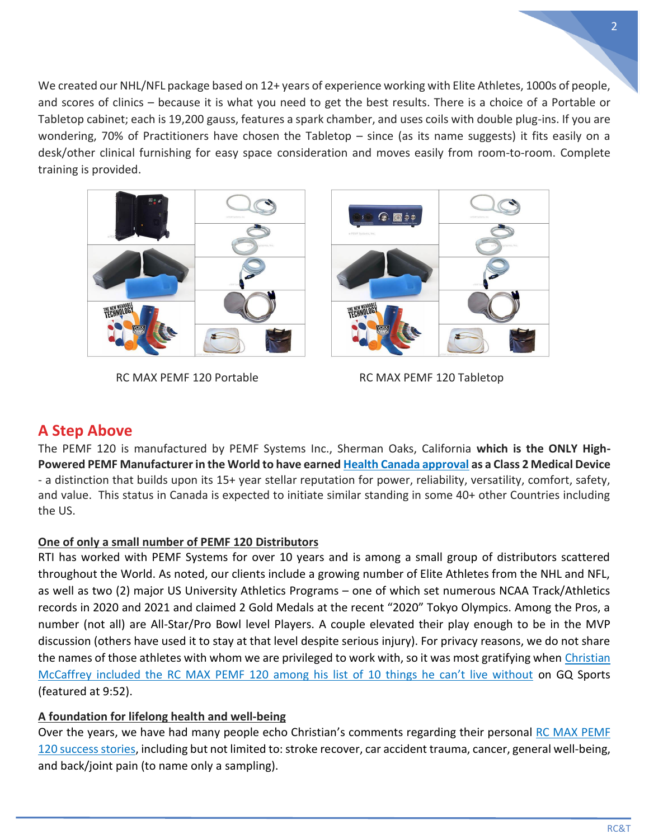We created our NHL/NFL package based on 12+ years of experience working with Elite Athletes, 1000s of people, and scores of clinics – because it is what you need to get the best results. There is a choice of a Portable or Tabletop cabinet; each is 19,200 gauss, features a spark chamber, and uses coils with double plug-ins. If you are wondering, 70% of Practitioners have chosen the Tabletop – since (as its name suggests) it fits easily on a desk/other clinical furnishing for easy space consideration and moves easily from room-to-room. Complete training is provided.



RC MAX PEMF 120 Portable RC MAX PEMF 120 Tabletop

### **A Step Above**

The PEMF 120 is manufactured by PEMF Systems Inc., Sherman Oaks, California **which is the ONLY High-Powered PEMF Manufacturer in the World to have earned [Health Canada approval](https://replenishingtechnologies.com/public/download/RC-MAX-PEMF-120-Manufacturer-ISO-13485.pdf) as a Class 2 Medical Device** - a distinction that builds upon its 15+ year stellar reputation for power, reliability, versatility, comfort, safety, and value. This status in Canada is expected to initiate similar standing in some 40+ other Countries including the US.

### **One of only a small number of PEMF 120 Distributors**

RTI has worked with PEMF Systems for over 10 years and is among a small group of distributors scattered throughout the World. As noted, our clients include a growing number of Elite Athletes from the NHL and NFL, as well as two (2) major US University Athletics Programs – one of which set numerous NCAA Track/Athletics records in 2020 and 2021 and claimed 2 Gold Medals at the recent "2020" Tokyo Olympics. Among the Pros, a number (not all) are All-Star/Pro Bowl level Players. A couple elevated their play enough to be in the MVP discussion (others have used it to stay at that level despite serious injury). For privacy reasons, we do not share the names of those athletes with whom we are privileged to work with, so it was most gratifying when [Christian](https://www.youtube.com/watch?v=WeaixQZdMOg)  McCaffre[y included the RC MAX PEMF 120 among his list of 10 things he can't live without](https://www.youtube.com/watch?v=WeaixQZdMOg) on GQ Sports (featured at 9:52).

### **A foundation for lifelong health and well-being**

Over the years, we have had many people echo Christian's comments regarding their personal RC MAX PEMF [120 success stories,](https://replenishingtechnologies.com/why-pemf/pemf-success-stories) including but not limited to: stroke recover, car accident trauma, cancer, general well-being, and back/joint pain (to name only a sampling).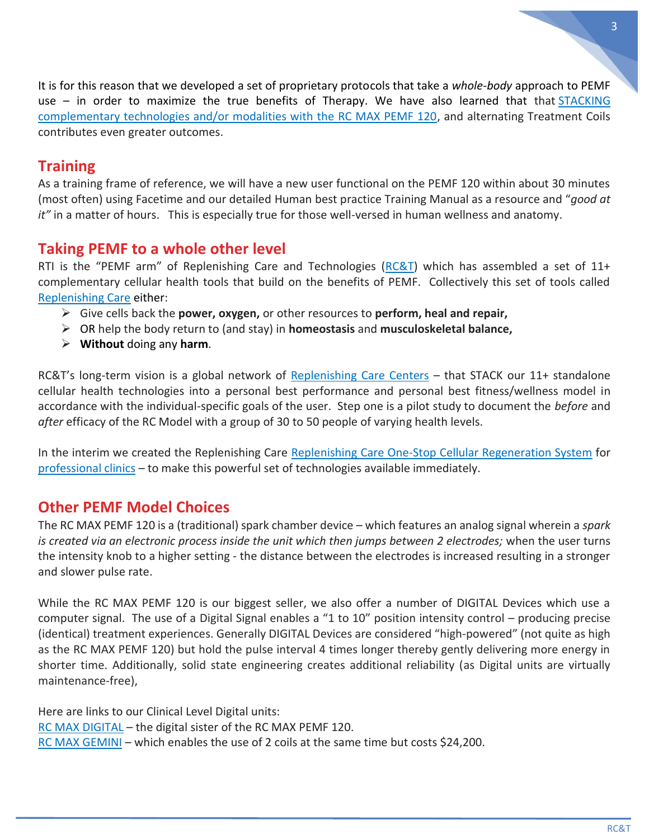It is for this reason that we developed a set of proprietary protocols that take a *whole-body* approach to PEMF use – in order to maximize the true benefits of Therapy. We have also learned that that **STACKING** [complementary technologies and/or modalities with the RC MAX PEMF 120,](https://rcandt.com/rct-tool-education) and alternating Treatment Coils contributes even greater outcomes.

### **Training**

As a training frame of reference, we will have a new user functional on the PEMF 120 within about 30 minutes (most often) using Facetime and our detailed Human best practice Training Manual as a resource and "*good at it"* in a matter of hours. This is especially true for those well-versed in human wellness and anatomy.

# **Taking PEMF to a whole other level**

RTI is the "PEMF arm" of Replenishing Care and Technologies ( $RC&T$ ) which has assembled a set of 11+ complementary cellular health tools that build on the benefits of PEMF. Collectively this set of tools called [Replenishing Care](https://rcandt.com/rct-tool-education/replenishing-care-rc-recipe) either:

- ➢ Give cells back the **power, oxygen,** or other resources to **perform, heal and repair,**
- ➢ OR help the body return to (and stay) in **homeostasis** and **musculoskeletal balance,**
- ➢ **Without** doing any **harm**.

RC&T's long-term vision is a global network of [Replenishing Care Centers](https://replenishingcare.com/rc-explained/rc-model) – that STACK our 11+ standalone cellular health technologies into a personal best performance and personal best fitness/wellness model in accordance with the individual-specific goals of the user. Step one is a pilot study to document the *before* and *after* efficacy of the RC Model with a group of 30 to 50 people of varying health levels.

In the interim we created the Replenishing Care [Replenishing Care One-Stop Cellular Regeneration System](https://rcandt.com/rct-tool-education/replenishing-care-rc-recipe/replenishing-care-one-stop-cellular-regeneration-system-rcocrs) for [professional clinics](https://rcandt.com/rct-partners/health-wellness-and-fitness-professionals) – to make this powerful set of technologies available immediately.

# **Other PEMF Model Choices**

The RC MAX PEMF 120 is a (traditional) spark chamber device – which features an analog signal wherein a *spark*  is created via an electronic process inside the unit which then jumps between 2 electrodes; when the user turns the intensity knob to a higher setting - the distance between the electrodes is increased resulting in a stronger and slower pulse rate.

While the RC MAX PEMF 120 is our biggest seller, we also offer a number of DIGITAL Devices which use a computer signal. The use of a Digital Signal enables a "1 to 10" position intensity control – producing precise (identical) treatment experiences. Generally DIGITAL Devices are considered "high-powered" (not quite as high as the RC MAX PEMF 120) but hold the pulse interval 4 times longer thereby gently delivering more energy in shorter time. Additionally, solid state engineering creates additional reliability (as Digital units are virtually maintenance-free),

Here are links to our Clinical Level Digital units: [RC MAX DIGITAL](https://replenishingtechnologies.com/pemf-products/rc-max-digital-pemf-devices) - the digital sister of the RC MAX PEMF 120. [RC MAX GEMINI](https://replenishingtechnologies.com/pemf-products/rc-max-gemini-high-powered-dual-coil-digital-pemf-devices) – which enables the use of 2 coils at the same time but costs \$24,200.